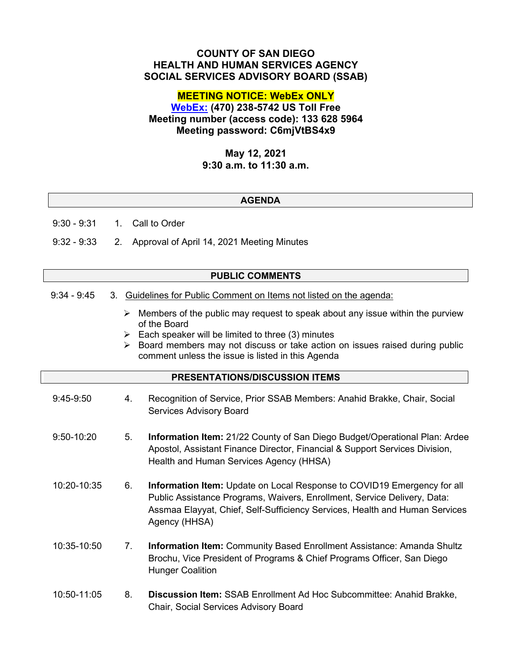# **COUNTY OF SAN DIEGO HEALTH AND HUMAN SERVICES AGENCY SOCIAL SERVICES ADVISORY BOARD (SSAB)**

# **MEETING NOTICE: WebEx ONLY**

**[WebEx:](https://sdcountyca.webex.com/sdcountyca/j.php?MTID=m5b788e51a977d34c27922997458a7ede) (470) 238-5742 US Toll Free Meeting number (access code): 133 628 5964 Meeting password: C6mjVtBS4x9**

## **May 12, 2021 9:30 a.m. to 11:30 a.m.**

### **AGENDA**

9:30 - 9:31 1. Call to Order

9:32 - 9:33 2. Approval of April 14, 2021 Meeting Minutes

#### **PUBLIC COMMENTS**

- 9:34 9:45 3. Guidelines for Public Comment on Items not listed on the agenda:
	- $\triangleright$  Members of the public may request to speak about any issue within the purview of the Board
	- $\triangleright$  Each speaker will be limited to three (3) minutes
	- $\triangleright$  Board members may not discuss or take action on issues raised during public comment unless the issue is listed in this Agenda

### **PRESENTATIONS/DISCUSSION ITEMS**

- 9:45-9:50 4. Recognition of Service, Prior SSAB Members: Anahid Brakke, Chair, Social Services Advisory Board
- 9:50-10:20 5. **Information Item:** 21/22 County of San Diego Budget/Operational Plan: Ardee Apostol, Assistant Finance Director, Financial & Support Services Division, Health and Human Services Agency (HHSA)
- 10:20-10:35 6. **Information Item:** Update on Local Response to COVID19 Emergency for all Public Assistance Programs, Waivers, Enrollment, Service Delivery, Data: Assmaa Elayyat, Chief, Self-Sufficiency Services, Health and Human Services Agency (HHSA)
- 10:35-10:50 7. **Information Item:** Community Based Enrollment Assistance: Amanda Shultz Brochu, Vice President of Programs & Chief Programs Officer, San Diego Hunger Coalition
- 10:50-11:05 8. **Discussion Item:** SSAB Enrollment Ad Hoc Subcommittee: Anahid Brakke, Chair, Social Services Advisory Board